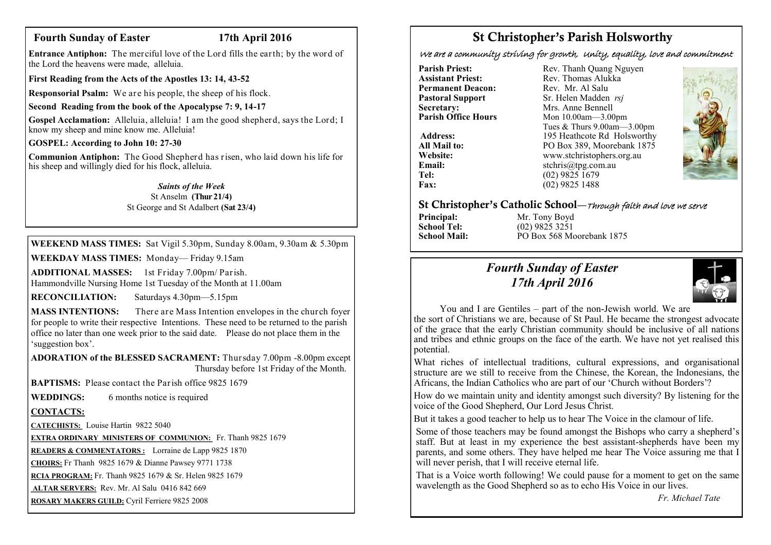# **Fourth Sunday of Easter 17th April 2016**

**Entrance Antiphon:** The merciful love of the Lord fills the earth; by the word of the Lord the heavens were made, alleluia.

**First Reading from the Acts of the Apostles 13: 14, 43-52**

**Responsorial Psalm:** We are his people, the sheep of his flock.

**Second Reading from the book of the Apocalypse 7: 9, 14-17**

**Gospel Acclamation:** Alleluia, alleluia! I am the good shepherd, says the Lord; I know my sheep and mine know me. Alleluia!

**GOSPEL: According to John 10: 27-30**

**Communion Antiphon:** The Good Shepherd has risen, who laid down his life for his sheep and willingly died for his flock, alleluia.

# *Saints of the Week*

St Anselm **(Thur 21/4)** St George and St Adalbert **(Sat 23/4)**

**WEEKEND MASS TIMES:** Sat Vigil 5.30pm, Sunday 8.00am, 9.30am & 5.30pm

**WEEKDAY MASS TIMES:** Monday— Friday 9.15am

**ADDITIONAL MASSES:** 1st Friday 7.00pm/ Parish. Hammondville Nursing Home 1st Tuesday of the Month at 11.00am

**RECONCILIATION:** Saturdays 4.30pm—5.15pm

**MASS INTENTIONS:** There are Mass Intention envelopes in the church foyer for people to write their respective Intentions. These need to be returned to the parish office no later than one week prior to the said date. Please do not place them in the 'suggestion box'.

**ADORATION of the BLESSED SACRAMENT:** Thursday 7.00pm -8.00pm except Thursday before 1st Friday of the Month.

**BAPTISMS:** Please contact the Parish office 9825 1679

**WEDDINGS:** 6 months notice is required

# **CONTACTS:**

**CATECHISTS:** Louise Hartin 9822 5040

**EXTRA ORDINARY MINISTERS OF COMMUNION:** Fr. Thanh 9825 1679

**READERS & COMMENTATORS :** Lorraine de Lapp 9825 1870

**CHOIRS:** Fr Thanh 9825 1679 & Dianne Pawsey 9771 1738

**RCIA PROGRAM:** Fr. Thanh 9825 1679 & Sr. Helen 9825 1679

**ALTAR SERVERS:** Rev. Mr. Al Salu 0416 842 669

**ROSARY MAKERS GUILD:** Cyril Ferriere 9825 2008

# St Christopher's Parish Holsworthy

We are a community striving for growth, Unity, equality, love and commitment

**Pastoral Support**<br>Secretary: **Secretary:** Mrs. Anne Bennell<br> **Parish Office Hours** Mon 10.00am - 3.00

**Parish Priest:** Rev. Thanh Quang Nguyen<br> **Assistant Priest:** Rev. Thomas Alukka Rev. Thomas Alukka<sup>N</sup><br>Rev. Mr. Al Salu **Permanent Deacon:** Rev. Mr. Al Salu<br> **Pastoral Sunnort** Sr Helen Madden *rsi* **Parish Office Hours** Mon 10.00am—3.00pm Tues & Thurs 9.00am—3.00pm Address: 195 Heathcote Rd Holsworthy **All Mail to:** PO Box 389, Moorebank 1875<br>
Website: www.stchristophers.org.au **Website:** www.stchristophers.org.au<br> **Email:** stchris@tng.com au **Email:** stchris@tpg.com.au<br> **Tel:** (02) 9825 1679 Tel: (02) 9825 1679<br>Fax: (02) 9825 1488 **Fax:** (02) 9825 1488



### St Christopher's Catholic School—Through faith and love we serve

**Principal:** Mr. Tony Boyd<br> **School Tel:** (02) 9825 3251 **School Tel:** (02) 9825 3251<br>**School Mail:** PO Box 568 Me **School Mail:** PO Box 568 Moorebank 1875

# *Fourth Sunday of Easter 17th April 2016*



You and I are Gentiles – part of the non-Jewish world. We are the sort of Christians we are, because of St Paul. He became the strongest advocate of the grace that the early Christian community should be inclusive of all nations and tribes and ethnic groups on the face of the earth. We have not yet realised this potential.

What riches of intellectual traditions, cultural expressions, and organisational structure are we still to receive from the Chinese, the Korean, the Indonesians, the Africans, the Indian Catholics who are part of our 'Church without Borders'?

How do we maintain unity and identity amongst such diversity? By listening for the voice of the Good Shepherd, Our Lord Jesus Christ.

But it takes a good teacher to help us to hear The Voice in the clamour of life.

Some of those teachers may be found amongst the Bishops who carry a shepherd's staff. But at least in my experience the best assistant-shepherds have been my parents, and some others. They have helped me hear The Voice assuring me that I will never perish, that I will receive eternal life.

That is a Voice worth following! We could pause for a moment to get on the same wavelength as the Good Shepherd so as to echo His Voice in our lives.

*Fr. Michael Tate*